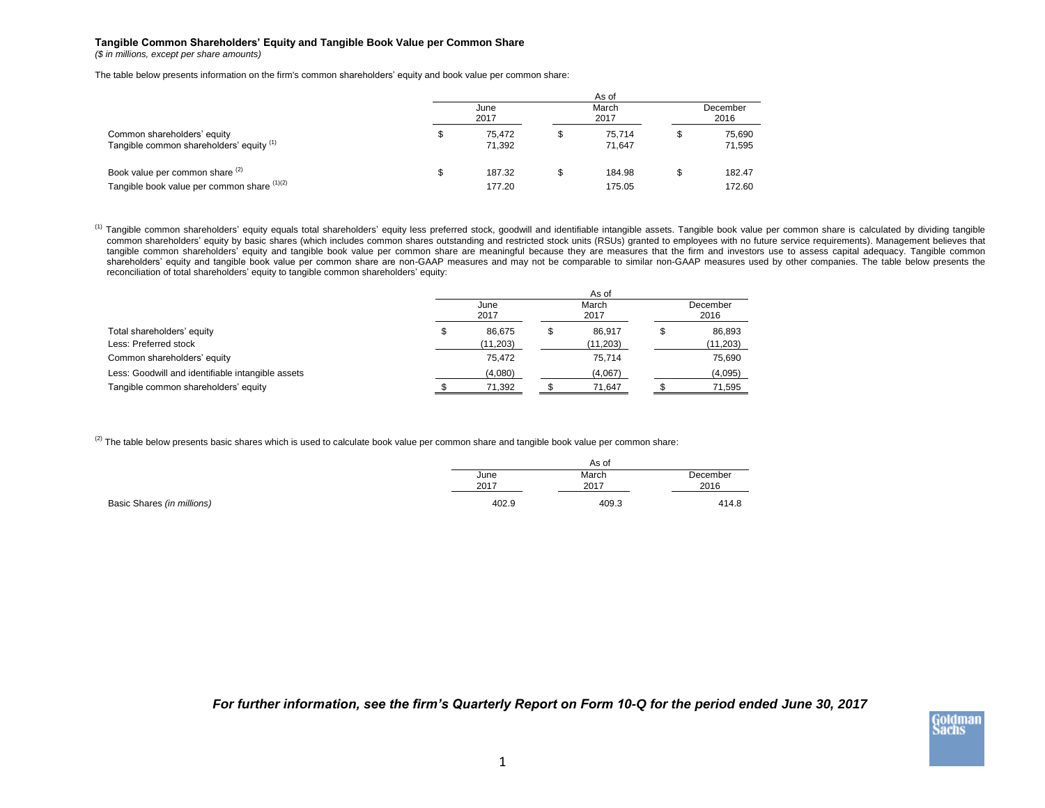## **Tangible Common Shareholders' Equity and Tangible Book Value per Common Share**

*(\$ in millions, except per share amounts)*

The table below presents information on the firm's common shareholders' equity and book value per common share:

|                                                                                | As of |                  |   |                  |                  |                  |  |  |  |  |  |  |  |
|--------------------------------------------------------------------------------|-------|------------------|---|------------------|------------------|------------------|--|--|--|--|--|--|--|
|                                                                                |       | June<br>2017     |   | March<br>2017    | December<br>2016 |                  |  |  |  |  |  |  |  |
| Common shareholders' equity<br>Tangible common shareholders' equity (1)        | S     | 75.472<br>71.392 | S | 75.714<br>71.647 |                  | 75.690<br>71,595 |  |  |  |  |  |  |  |
| Book value per common share (2)<br>Tangible book value per common share (1)(2) | S     | 187.32<br>177.20 |   | 184.98<br>175.05 |                  | 182.47<br>172.60 |  |  |  |  |  |  |  |

<sup>(1)</sup> Tangible common shareholders' equity equals total shareholders' equity less preferred stock, goodwill and identifiable intangible assets. Tangible book value per common share is calculated by dividing tangible common shareholders' equity by basic shares (which includes common shares outstanding and restricted stock units (RSUs) granted to employees with no future service requirements). Management believes that tangible common shareholders' equity and tangible book value per common share are meaningful because they are measures that the firm and investors use to assess capital adequacy. Tangible common shareholders' equity and tangible book value per common share are non-GAAP measures and may not be comparable to similar non-GAAP measures used by other companies. The table below presents the reconciliation of total shareholders' equity to tangible common shareholders' equity:

|                                                   | June<br>2017 |           |  | March<br>2017 | December<br>2016 |          |  |
|---------------------------------------------------|--------------|-----------|--|---------------|------------------|----------|--|
| Total shareholders' equity                        |              | 86.675    |  | 86.917        |                  | 86,893   |  |
| Less: Preferred stock                             |              | (11, 203) |  | (11, 203)     |                  | (11,203) |  |
| Common shareholders' equity                       |              | 75.472    |  | 75,714        |                  | 75,690   |  |
| Less: Goodwill and identifiable intangible assets |              | (4,080)   |  | (4,067)       |                  | (4,095)  |  |
| Tangible common shareholders' equity              |              | 71,392    |  | 71,647        |                  | 71,595   |  |

 $^{(2)}$  The table below presents basic shares which is used to calculate book value per common share and tangible book value per common share:

| June<br>2017 | March<br>2017 | December<br>2016 |
|--------------|---------------|------------------|
| 402.9        | 409.3         | 414.8            |

*For further information, see the firm's Quarterly Report on Form 10-Q for the period ended June 30, 2017*